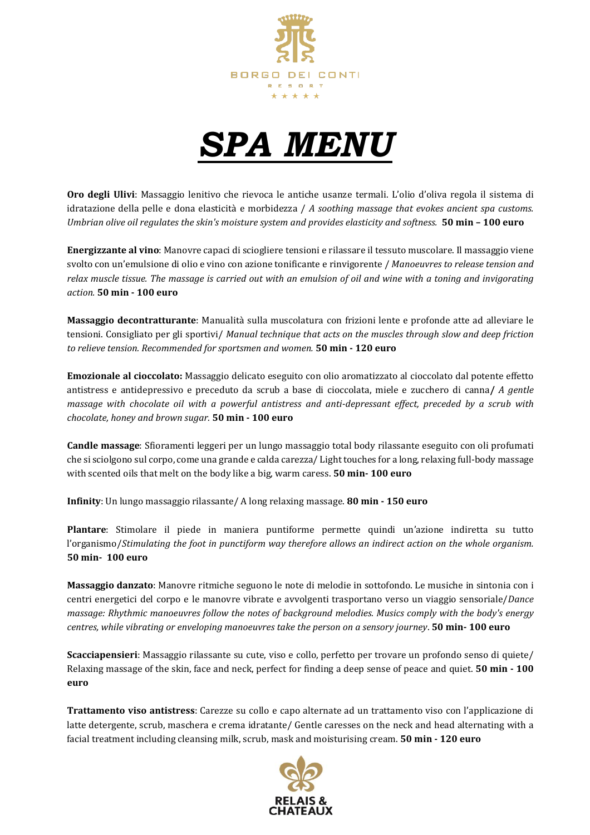



**Oro degli Ulivi**: Massaggio lenitivo che rievoca le antiche usanze termali. L'olio d'oliva regola il sistema di idratazione della pelle e dona elasticità e morbidezza / *A soothing massage that evokes ancient spa customs.* Umbrian olive oil regulates the skin's moisture system and provides elasticity and softness. 50 min - 100 euro

**Energizzante al vino**: Manovre capaci di sciogliere tensioni e rilassare il tessuto muscolare. Il massaggio viene svolto con un'emulsione di olio e vino con azione tonificante e rinvigorente / *Manoeuvres to release tension and* relax muscle tissue. The massage is carried out with an emulsion of oil and wine with a toning and invigorating *action.* **50 min - 100 euro**

**Massaggio decontratturante**: Manualità sulla muscolatura con frizioni lente e profonde atte ad alleviare le tensioni. Consigliato per gli sportivi/ *Manual technique that acts on the muscles through slow and deep friction to relieve tension. Recommended for sportsmen and women.* **50 min - 120 euro**

**Emozionale al cioccolato:** Massaggio delicato eseguito con olio aromatizzato al cioccolato dal potente effetto antistress e antidepressivo e preceduto da scrub a base di cioccolata, miele e zucchero di canna**/** *A gentle massage with chocolate oil with a powerful antistress and anti-depressant effect, preceded by a scrub with chocolate, honey and brown sugar.* **50 min - 100 euro**

**Candle massage**: Sfioramenti leggeri per un lungo massaggio total body rilassante eseguito con oli profumati che si sciolgono sul corpo, come una grande e calda carezza/ Light touches for a long, relaxing full-body massage with scented oils that melt on the body like a big, warm caress. **50 min- 100 euro**

**Infinity**: Un lungo massaggio rilassante/ A long relaxing massage. **80 min - 150 euro**

**Plantare**: Stimolare il piede in maniera puntiforme permette quindi un'azione indiretta su tutto l'organismo/*Stimulating the foot in punctiform way therefore allows an indirect action on the whole organism.* **50 min- 100 euro**

**Massaggio danzato**: Manovre ritmiche seguono le note di melodie in sottofondo. Le musiche in sintonia con i centri energetici del corpo e le manovre vibrate e avvolgenti trasportano verso un viaggio sensoriale/*Dance massage: Rhythmic manoeuvres follow the notes of background melodies. Musics comply with the body's energy centres, while vibrating or enveloping manoeuvres take the person on a sensory journey*. **50 min- 100 euro**

**Scacciapensieri**: Massaggio rilassante su cute, viso e collo, perfetto per trovare un profondo senso di quiete/ Relaxing massage of the skin, face and neck, perfect for finding a deep sense of peace and quiet. **50 min - 100 euro**

**Trattamento viso antistress**: Carezze su collo e capo alternate ad un trattamento viso con l'applicazione di latte detergente, scrub, maschera e crema idratante/ Gentle caresses on the neck and head alternating with a facial treatment including cleansing milk, scrub, mask and moisturising cream. **50 min - 120 euro**